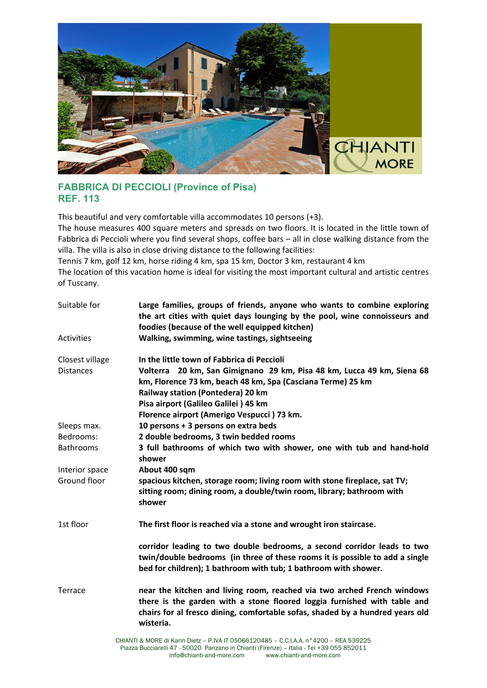

## **FABBRICA DI PECCIOLI (Province of Pisa) REF. 113**

This beautiful and very comfortable villa accommodates 10 persons (+3).

The house measures 400 square meters and spreads on two floors. It is located in the little town of Fabbrica di Peccioli where you find several shops, coffee bars – all in close walking distance from the villa. The villa is also in close driving distance to the following facilities:

Tennis 7 km, golf 12 km, horse riding 4 km, spa 15 km, Doctor 3 km, restaurant 4 km

The location of this vacation home is ideal for visiting the most important cultural and artistic centres of Tuscany.

| Suitable for      | Large families, groups of friends, anyone who wants to combine exploring<br>the art cities with quiet days lounging by the pool, wine connoisseurs and<br>foodies (because of the well equipped kitchen)                                          |
|-------------------|---------------------------------------------------------------------------------------------------------------------------------------------------------------------------------------------------------------------------------------------------|
| <b>Activities</b> | Walking, swimming, wine tastings, sightseeing                                                                                                                                                                                                     |
| Closest village   | In the little town of Fabbrica di Peccioli                                                                                                                                                                                                        |
| <b>Distances</b>  | Volterra 20 km, San Gimignano 29 km, Pisa 48 km, Lucca 49 km, Siena 68<br>km, Florence 73 km, beach 48 km, Spa (Casciana Terme) 25 km<br>Railway station (Pontedera) 20 km                                                                        |
|                   | Pisa airport (Galileo Galilei) 45 km                                                                                                                                                                                                              |
|                   | Florence airport (Amerigo Vespucci) 73 km.                                                                                                                                                                                                        |
| Sleeps max.       | 10 persons + 3 persons on extra beds                                                                                                                                                                                                              |
| Bedrooms:         | 2 double bedrooms, 3 twin bedded rooms                                                                                                                                                                                                            |
| <b>Bathrooms</b>  | 3 full bathrooms of which two with shower, one with tub and hand-hold<br>shower                                                                                                                                                                   |
| Interior space    | About 400 sqm                                                                                                                                                                                                                                     |
| Ground floor      | spacious kitchen, storage room; living room with stone fireplace, sat TV;<br>sitting room; dining room, a double/twin room, library; bathroom with<br>shower                                                                                      |
| 1st floor         | The first floor is reached via a stone and wrought iron staircase.                                                                                                                                                                                |
|                   | corridor leading to two double bedrooms, a second corridor leads to two<br>twin/double bedrooms (in three of these rooms it is possible to add a single<br>bed for children); 1 bathroom with tub; 1 bathroom with shower.                        |
| Terrace           | near the kitchen and living room, reached via two arched French windows<br>there is the garden with a stone floored loggia furnished with table and<br>chairs for al fresco dining, comfortable sofas, shaded by a hundred years old<br>wisteria. |
|                   |                                                                                                                                                                                                                                                   |